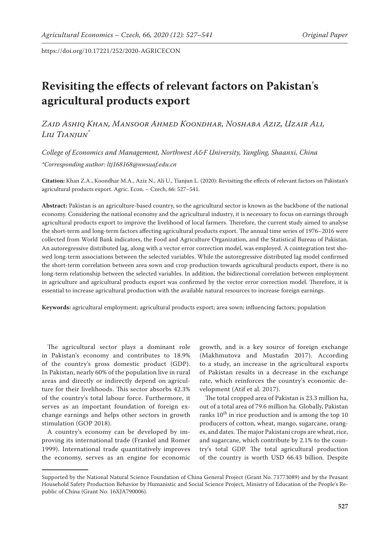# **Revisiting the effects of relevant factors on Pakistan**'**s agricultural products export**

*Zaid Ashiq Khan, Mansoor Ahmed Koondhar, Noshaba Aziz, Uzair Ali, Liu Tianjun\**

*College of Economics and Management, Northwest A&F University, Yangling, Shaanxi, China \*Corresponding author: ltj168168@nwsuaf.edu.cn*

**Citation:** Khan Z.A., Koondhar M.A., Aziz N., Ali U., Tianjun L. (2020): Revisiting the effects of relevant factors on Pakistan's agricultural products export. Agric. Econ. – Czech, 66: 527–541.

**Abstract:** Pakistan is an agriculture-based country, so the agricultural sector is known as the backbone of the national economy. Considering the national economy and the agricultural industry, it is necessary to focus on earnings through agricultural products export to improve the livelihood of local farmers. Therefore, the current study aimed to analyse the short-term and long-term factors affecting agricultural products export. The annual time series of 1976–2016 were collected from World Bank indicators, the Food and Agriculture Organization, and the Statistical Bureau of Pakistan. An autoregressive distributed lag, along with a vector error correction model, was employed. A cointegration test showed long-term associations between the selected variables. While the autoregressive distributed lag model confirmed the short-term correlation between area sown and crop production towards agricultural products export, there is no long-term relationship between the selected variables. In addition, the bidirectional correlation between employment in agriculture and agricultural products export was confirmed by the vector error correction model. Therefore, it is essential to increase agricultural production with the available natural resources to increase foreign earnings.

**Keywords:** agricultural employment; agricultural products export; area sown; influencing factors; population

The agricultural sector plays a dominant role in Pakistan's economy and contributes to 18.9% of the country's gross domestic product (GDP). In Pakistan, nearly 60% of the population live in rural areas and directly or indirectly depend on agriculture for their livelihoods. This sector absorbs 42.3% of the country's total labour force. Furthermore, it serves as an important foundation of foreign exchange earnings and helps other sectors in growth stimulation (GOP 2018).

A country's economy can be developed by improving its international trade (Frankel and Romer 1999). International trade quantitatively improves the economy, serves as an engine for economic

growth, and is a key source of foreign exchange (Makhmutova and Mustafin 2017). According to a study, an increase in the agricultural exports of Pakistan results in a decrease in the exchange rate, which reinforces the country's economic development (Atif et al. 2017).

The total cropped area of Pakistan is 23.3 million ha, out of a total area of 79.6 million ha. Globally, Pakistan ranks  $10^{th}$  in rice production and is among the top 10 producers of cotton, wheat, mango, sugarcane, oranges, and dates. The major Pakistani crops are wheat, rice, and sugarcane, which contribute by 2.1% to the country's total GDP. The total agricultural production of the country is worth USD 66.43 billion. Despite

Supported by the National Natural Science Foundation of China General Project (Grant No. 71773089) and by the Peasant Household Safety Production Behavior by Humanistic and Social Science Project, Ministry of Education of the People's Republic of China (Grant No. 16XJA790006).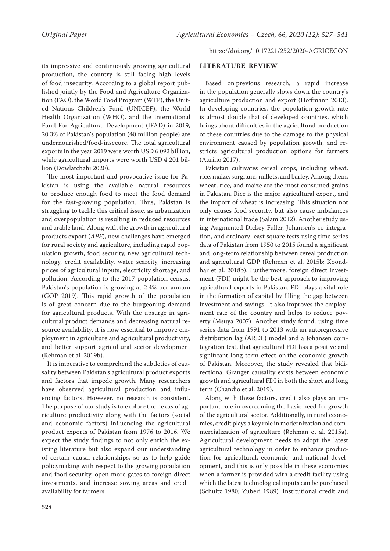its impressive and continuously growing agricultural production, the country is still facing high levels of food insecurity. According to a global report published jointly by the Food and Agriculture Organization (FAO), the World Food Program (WFP), the United Nations Children's Fund (UNICEF), the World Health Organization (WHO), and the International Fund For Agricultural Development (IFAD) in 2019, 20.3% of Pakistan's population (40 million people) are undernourished/food-insecure. The total agricultural exports in the year 2019 were worth USD 6 092 billion, while agricultural imports were worth USD 4 201 billion (Dowlatchahi 2020).

The most important and provocative issue for Pakistan is using the available natural resources to produce enough food to meet the food demand for the fast-growing population. Thus, Pakistan is struggling to tackle this critical issue, as urbanization and overpopulation is resulting in reduced resources and arable land. Along with the growth in agricultural products export (*APE*), new challenges have emerged for rural society and agriculture, including rapid population growth, food security, new agricultural technology, credit availability, water scarcity, increasing prices of agricultural inputs, electricity shortage, and pollution. According to the 2017 population census, Pakistan's population is growing at 2.4% per annum (GOP 2019). This rapid growth of the population is of great concern due to the burgeoning demand for agricultural products. With the upsurge in agricultural product demands and decreasing natural resource availability, it is now essential to improve employment in agriculture and agricultural productivity, and better support agricultural sector development (Rehman et al. 2019b).

It is imperative to comprehend the subtleties of causality between Pakistan's agricultural product exports and factors that impede growth. Many researchers have observed agricultural production and influencing factors. However, no research is consistent. The purpose of our study is to explore the nexus of agriculture productivity along with the factors (social and economic factors) influencing the agricultural product exports of Pakistan from 1976 to 2016. We expect the study findings to not only enrich the existing literature but also expand our understanding of certain causal relationships, so as to help guide policymaking with respect to the growing population and food security, open more gates to foreign direct investments, and increase sowing areas and credit availability for farmers.

https://doi.org/10.17221/252/2020-AGRICECON

### **LITERATURE REVIEW**

Based on previous research, a rapid increase in the population generally slows down the country's agriculture production and export (Hoffmann 2013). In developing countries, the population growth rate is almost double that of developed countries, which brings about difficulties in the agricultural production of these countries due to the damage to the physical environment caused by population growth, and restricts agricultural production options for farmers (Aurino 2017).

Pakistan cultivates cereal crops, including wheat, rice, maize, sorghum, millets, and barley. Among them, wheat, rice, and maize are the most consumed grains in Pakistan. Rice is the major agricultural export, and the import of wheat is increasing. This situation not only causes food security, but also cause imbalances in international trade (Salam 2012). Another study using Augmented Dickey-Fuller, Johansen's co-integration, and ordinary least square tests using time series data of Pakistan from 1950 to 2015 found a significant and long-term relationship between cereal production and agricultural GDP (Rehman et al. 2015b; Koondhar et al. 2018b). Furthermore, foreign direct investment (FDI) might be the best approach to improving agricultural exports in Pakistan. FDI plays a vital role in the formation of capital by filling the gap between investment and savings. It also improves the employment rate of the country and helps to reduce poverty (Msuya 2007). Another study found, using time series data from 1991 to 2013 with an autoregressive distribution lag (ARDL) model and a Johansen cointegration test, that agricultural FDI has a positive and significant long-term effect on the economic growth of Pakistan. Moreover, the study revealed that bidirectional Granger causality exists between economic growth and agricultural FDI in both the short and long term (Chandio et al. 2019).

Along with these factors, credit also plays an important role in overcoming the basic need for growth of the agricultural sector. Additionally, in rural economies, credit plays a key role in modernization and commercialization of agriculture (Rehman et al. 2015a). Agricultural development needs to adopt the latest agricultural technology in order to enhance production for agricultural, economic, and national development, and this is only possible in these economies when a farmer is provided with a credit facility using which the latest technological inputs can be purchased (Schultz 1980; Zuberi 1989). Institutional credit and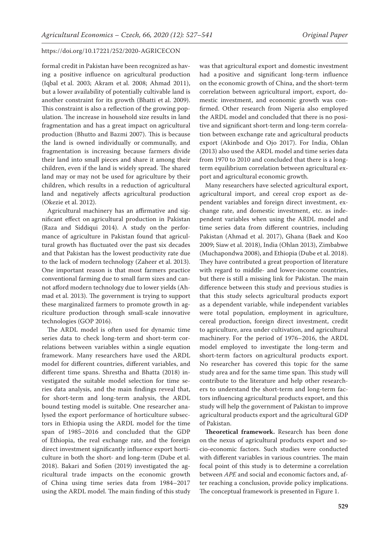formal credit in Pakistan have been recognized as having a positive influence on agricultural production (Iqbal et al. 2003; Akram et al. 2008; Ahmad 2011), but a lower availability of potentially cultivable land is another constraint for its growth (Bhatti et al. 2009). This constraint is also a reflection of the growing population. The increase in household size results in land fragmentation and has a great impact on agricultural production (Bhutto and Bazmi 2007). This is because the land is owned individually or communally, and fragmentation is increasing because farmers divide their land into small pieces and share it among their children, even if the land is widely spread. The shared land may or may not be used for agriculture by their children, which results in a reduction of agricultural land and negatively affects agricultural production (Okezie et al. 2012).

Agricultural machinery has an affirmative and significant effect on agricultural production in Pakistan (Raza and Siddiqui 2014). A study on the performance of agriculture in Pakistan found that agricultural growth has fluctuated over the past six decades and that Pakistan has the lowest productivity rate due to the lack of modern technology (Zaheer et al. 2013). One important reason is that most farmers practice conventional farming due to small farm sizes and cannot afford modern technology due to lower yields (Ahmad et al. 2013). The government is trying to support these marginalized farmers to promote growth in agriculture production through small-scale innovative technologies (GOP 2016).

The ARDL model is often used for dynamic time series data to check long-term and short-term correlations between variables within a single equation framework. Many researchers have used the ARDL model for different countries, different variables, and different time spans. Shrestha and Bhatta (2018) investigated the suitable model selection for time series data analysis, and the main findings reveal that, for short-term and long-term analysis, the ARDL bound testing model is suitable. One researcher analysed the export performance of horticulture subsectors in Ethiopia using the ARDL model for the time span of 1985–2016 and concluded that the GDP of Ethiopia, the real exchange rate, and the foreign direct investment significantly influence export horticulture in both the short- and long-term (Dube et al. 2018). Bakari and Sofien (2019) investigated the agricultural trade impacts on the economic growth of China using time series data from 1984–2017 using the ARDL model. The main finding of this study

was that agricultural export and domestic investment had a positive and significant long-term influence on the economic growth of China, and the short-term correlation between agricultural import, export, domestic investment, and economic growth was confirmed. Other research from Nigeria also employed the ARDL model and concluded that there is no positive and significant short-term and long-term correlation between exchange rate and agricultural products export (Akinbode and Ojo 2017). For India, Ohlan (2013) also used the ARDL model and time series data from 1970 to 2010 and concluded that there is a longterm equilibrium correlation between agricultural export and agricultural economic growth.

Many researchers have selected agricultural export, agricultural import, and cereal crop export as dependent variables and foreign direct investment, exchange rate, and domestic investment, etc. as independent variables when using the ARDL model and time series data from different countries, including Pakistan (Ahmad et al. 2017), Ghana (Baek and Koo 2009; Siaw et al. 2018), India (Ohlan 2013), Zimbabwe (Muchapondwa 2008), and Ethiopia (Dube et al. 2018). They have contributed a great proportion of literature with regard to middle- and lower-income countries, but there is still a missing link for Pakistan. The main difference between this study and previous studies is that this study selects agricultural products export as a dependent variable, while independent variables were total population, employment in agriculture, cereal production, foreign direct investment, credit to agriculture, area under cultivation, and agricultural machinery. For the period of 1976–2016, the ARDL model employed to investigate the long-term and short-term factors on agricultural products export. No researcher has covered this topic for the same study area and for the same time span. This study will contribute to the literature and help other researchers to understand the short-term and long-term factors influencing agricultural products export, and this study will help the government of Pakistan to improve agricultural products export and the agricultural GDP of Pakistan.

**Theoretical framework.** Research has been done on the nexus of agricultural products export and socio-economic factors. Such studies were conducted with different variables in various countries. The main focal point of this study is to determine a correlation between *APE* and social and economic factors and, after reaching a conclusion, provide policy implications. The conceptual framework is presented in Figure 1.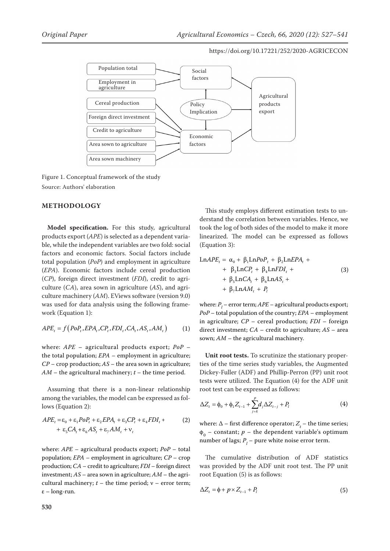

Figure 1. Conceptual framework of the study Source: Authors' elaboration

# **METHODOLOGY**

**Model specification.** For this study, agricultural products export (*APE*) is selected as a dependent variable, while the independent variables are two fold: social factors and economic factors. Social factors include total population (*PoP*) and employment in agriculture (*EPA*). Economic factors include cereal production (*CP*), foreign direct investment (*FDI*), credit to agriculture (*CA*), area sown in agriculture (*AS*), and agriculture machinery (*AM*). EViews software (version 9.0) was used for data analysis using the following framework (Equation 1):

$$
APE_t = f\big(PoP_t, EPA_t, CP_t, FDI_t, CA_t, AS_t, AM_t\big) \tag{1}
$$

where: *APE* – agricultural products export; *PoP* – the total population; *EPA* – employment in agriculture; *CP* – crop production; *AS* – the area sown in agriculture;  $AM$  – the agricultural machinery;  $t$  – the time period.

Assuming that there is a non-linear relationship among the variables, the model can be expressed as follows (Equation 2):

$$
APE_t = \varepsilon_0 + \varepsilon_1 PoP_t + \varepsilon_2 EPA_t + \varepsilon_3 CP_t + \varepsilon_4 EDI_t +
$$
  
+ 
$$
\varepsilon_5 CA_t + \varepsilon_6 AS_t + \varepsilon_7 AM_t + \nu_t
$$
 (2)

where: *APE* – agricultural products export; *PoP* – total population; *EPA* – employment in agriculture; *CP* – crop production; *CA* – credit to agriculture; *FDI* – foreign direct investment; *AS* – area sown in agriculture; *AM* – the agricultural machinery;  $t$  – the time period;  $v$  – error term; ε – long-run.

This study employs different estimation tests to understand the correlation between variables. Hence, we took the log of both sides of the model to make it more linearized. The model can be expressed as follows (Equation 3):

$$
\text{Ln}APE_{t} = \alpha_{0} + \beta_{1}\text{Ln}PoP_{t} + \beta_{2}\text{Ln}PA_{t} ++ \beta_{3}\text{Ln}CP_{t} + \beta_{4}\text{Ln}FDI_{t} ++ \beta_{5}\text{Ln}CA_{t} + \beta_{6}\text{Ln}AS_{t} ++ \beta_{7}\text{Ln}AM_{t} + P_{t}
$$
\n(3)

where:  $P_i$  – error term;  $APE$  – agricultural products export; *PoP* – total population of the country; *EPA* – employment in agriculture; *CP* – cereal production; *FDI* – foreign direct investment; *CA* – credit to agriculture; *AS* – area sown; *AM* – the agricultural machinery.

**Unit root tests.** To scrutinize the stationary properties of the time series study variables, the Augmented Dickey-Fuller (ADF) and Phillip-Perron (PP) unit root tests were utilized. The Equation (4) for the ADF unit root test can be expressed as follows:

$$
\Delta Z_t = \phi_0 + \phi_1 Z_{t-1} + \sum_{j=k}^p d_j \Delta Z_{t-j} + P_l \tag{4}
$$

where:  $\Delta$  – first difference operator;  $Z_t$  – the time series;  $\phi_0$  – constant; *p* – the dependent variable's optimum number of lags;  $P_{l}$  – pure white noise error term.

The cumulative distribution of ADF statistics was provided by the ADF unit root test. The PP unit root Equation (5) is as follows:

$$
\Delta Z_t = \phi + p \times Z_{t-1} + P_l \tag{5}
$$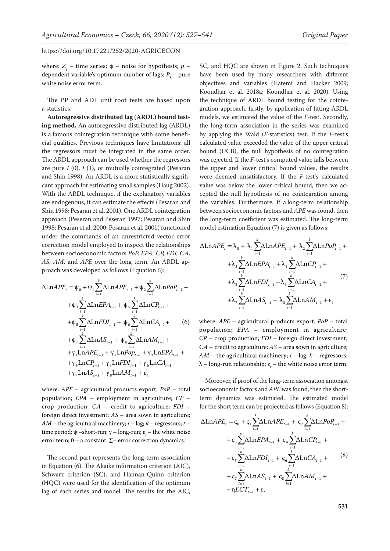where:  $Z_t$  – time series;  $\phi$  – noise for hypothesis;  $p$  – dependent variable's optimum number of lags;  $P_{l}$  – pure white noise error term.

The PP and ADF unit root tests are based upon *t*-statistics.

**Autoregressive distributed lag (ARDL) bound testing method.** An autoregressive distributed lag (ARDL) is a famous cointegration technique with some beneficial qualities. Previous techniques have limitations: all the regressors must be integrated in the same order. The ARDL approach can be used whether the regressors are pure *I* (0), *I* (1), or mutually cointegrated (Pesaran and Shin 1998). An ARDL is a more statistically significant approach for estimating small samples (Haug 2002). With the ARDL technique, if the explanatory variables are endogenous, it can estimate the effects (Pesaran and Shin 1998; Pesaran et al. 2001). One ARDL cointegration approach (Peseran and Peseran 1997; Pesaran and Shin 1998; Pesaran et al. 2000; Pesaran et al. 2001) functioned under the commands of an unrestricted vector error correction model employed to inspect the relationships between socioeconomic factors *PoP, EPA, CP, FDI, CA, AS, AM*, and *APE* over the long term. An ARDL approach was developed as follows (Equation 6):

$$
\Delta LnAPE_{t} = \psi_{0} + \psi_{1} \sum_{i=1}^{k} \Delta LnAPE_{t-1} + \psi_{2} \sum_{i=1}^{k} \Delta LnPoP_{t-1} + \psi_{3} \sum_{i=1}^{k} \Delta LnEPA_{t-1} + \psi_{4} \sum_{i=1}^{k} \Delta LnCP_{t-1} + \psi_{5} \sum_{i=1}^{k} \Delta LnFDI_{t-1} + \psi_{6} \sum_{i=1}^{k} \Delta LnCA_{t-1} + \psi_{7} \sum_{i=1}^{k} \Delta LnAS_{t-1} + \psi_{8} \sum_{i=1}^{k} \Delta LnAM_{t-1} + \psi_{7} \sum_{i=1}^{k} \Delta LnAPE_{t-1} + \gamma_{2} LnPop_{t-1} + \gamma_{3} LnEPA_{t-1} + \psi_{4} LnCP_{t-1} + \gamma_{5} LnFDI_{t-1} + \gamma_{6} LnCA_{t-1} + \psi_{7} LnAS_{t-1} + \gamma_{8} LnAM_{t-1} + \epsilon_{t}
$$

where: *APE* – agricultural products export; *PoP* – total population; *EPA* – employment in agriculture; *CP* – crop production; *CA* – credit to agriculture; *FDI* – foreign direct investment; *AS* – area sown in agriculture;  $AM$  – the agricultural machinery;  $i$  – lag;  $k$  – regressors;  $t$  – time period;  $\psi$  –short-run;  $\gamma$  – long-run;  $\varepsilon$ <sub>t</sub> – the white noise error term; 0 – a constant;  $\Sigma$ – error correction dynamics.

The second part represents the long-term association in Equation (6). The Akaike information criterion (AIC), Schwarz criterion (SC), and Hannan-Quinn criterion (HQC) were used for the identification of the optimum lag of each series and model. The results for the AIC,

SC, and HQC are shown in Figure 2. Such techniques have been used by many researchers with different objectives and variables (Hatemi and Hacker 2009; Koondhar et al. 2018a; Koondhar et al. 2020). Using the technique of ARDL bound testing for the cointegration approach, firstly, by application of fitting ARDL models, we estimated the value of the *F*-test. Secondly, the long-term association in the series was examined by applying the Wald (*F*-statistics) test. If the *F*-test's calculated value exceeded the value of the upper critical bound (UCB), the null hypothesis of no cointegration was rejected. If the *F*-test's computed value falls between the upper and lower critical bound values, the results were deemed unsatisfactory. If the *F*-test's calculated value was below the lower critical bound, then we accepted the null hypothesis of no cointegration among the variables. Furthermore, if a long-term relationship between socioeconomic factors and *APE* was found, then the long-term coefficient was estimated. The long-term model estimation Equation (7) is given as follows:

$$
\Delta \text{Ln}APE_{t} = \lambda_{0} + \lambda_{1} \sum_{i=1}^{k} \Delta \text{Ln}APE_{t-1} + \lambda_{2} \sum_{i=1}^{k} \Delta \text{Ln}PoP_{t-1} + \lambda_{3} \sum_{i=1}^{k} \Delta \text{Ln}EPA_{t-1} + \lambda_{4} \sum_{i=1}^{k} \Delta \text{Ln}CP_{t-1} + \lambda_{5} \sum_{i=1}^{k} \Delta \text{Ln}FDI_{t-1} + \lambda_{6} \sum_{i=1}^{k} \Delta \text{Ln}CA_{t-1} + \lambda_{7} \sum_{i=1}^{k} \Delta \text{Ln}AS_{t-1} + \lambda_{8} \sum_{i=1}^{k} \Delta \text{Ln}AM_{t-1} + \varepsilon_{t}
$$
\n(7)

where: *APE* – agricultural products export; *PoP* – total population; *EPA* – employment in agriculture; *CP* – crop production; *FDI* – foreign direct investment; *CA* – credit to agriculture; *AS* – area sown in agriculture;  $AM$  – the agricultural machinery;  $i$  – lag;  $k$  – regressors;  $\lambda$  – long-run relationship;  $\varepsilon_{_t}$  – the white noise error term.

Moreover, if proof of the long-term association amongst socioeconomic factors and *APE* was found, then the shortterm dynamics was estimated. The estimated model for the short term can be projected as follows (Equation 8):

$$
\Delta \text{Ln}APE_{t} = c_{0} + c_{1} \sum_{i=1}^{k} \Delta \text{Ln}APE_{t-1} + c_{2} \sum_{i=1}^{k} \Delta \text{Ln}PoP_{t-1} + c_{3} \sum_{i=1}^{k} \Delta \text{Ln}EPA_{t-1} + c_{4} \sum_{i=1}^{k} \Delta \text{Ln}CP_{t-1} + c_{5} \sum_{i=1}^{k} \Delta \text{Ln}FDI_{t-1} + c_{6} \sum_{i=1}^{k} \Delta \text{Ln}CA_{t-1} + c_{7} \sum_{i=1}^{k} \Delta \text{Ln}AS_{t-1} + c_{8} \sum_{i=1}^{k} \Delta \text{Ln}AM_{t-1} + c_{7} \sum_{i=1}^{k} \Delta \text{Ln}A H_{t-1} + c_{8} \sum_{i=1}^{k} \Delta \text{Ln}AM_{t-1} + c_{9} \sum_{i=1}^{k} \Delta \text{Ln}A H_{t-1} + c_{1} \sum_{i=1}^{k} \sum_{i=1}^{k} \Delta \text{Ln}A H_{t-1} + c_{1} \sum_{i=1}^{k} \Delta \text{Ln}A H_{t-1} + c_{1} \sum_{i=1}^{k} \Delta \text{Ln}A H_{t-1} + c_{1} \sum_{i=1}^{k} \Delta \text{Ln}A H_{t-1} + c_{1} \sum_{i=1}^{k} \Delta \text{Ln}A H_{t-1} + c_{2} \sum_{i=1}^{k} \Delta \text{Ln}A H_{t-1} + c_{1} \sum_{i=1}^{k} \Delta \text{Ln}A H_{t-1} + c_{2} \sum_{i=1}^{k} \Delta \text{Ln}A H_{t-1} + c_{3} \sum_{i=1}^{k} \Delta \text{Ln}A H_{t-1} + c_{6} \sum_{i=1}^{k} \Delta \text{Ln}A H_{t-1} + c_{7} \sum_{i=1}^{k} \Delta \text{Ln}A H_{t-1} + c_{8} \sum_{i=1}^{k} \Delta \text{Ln}A H_{t-1} + c_{9} \sum_{i=1}^{k} \Delta \text{Ln}A H_{t-1} + c_{1} \sum_{i=1}^{k} \Delta \text{Ln}A H_{t-1} + c_{1} \sum_{i=1}^{
$$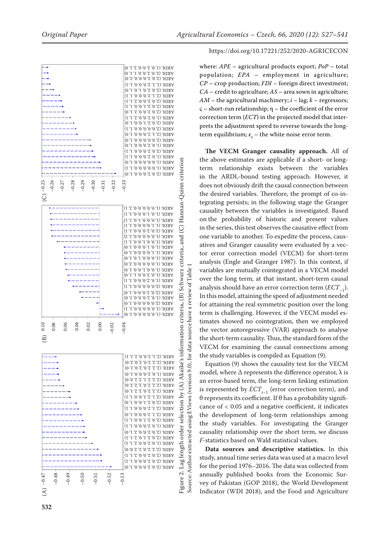

where: *APE* – agricultural products export; *PoP* – total population; *EPA* – employment in agriculture; *CP* – crop production; *FDI* – foreign direct investment; *CA* – credit to agriculture; *AS* – area sown in agriculture; *AM* – the agricultural machinery; *i* – lag; *k* – regressors; ς – short-run relationship; η – the coefficient of the error correction term (*ECT*) in the projected model that interprets the adjustment speed to reverse towards the longterm equilibrium;  $\varepsilon_t$  – the white noise error term.

**The VECM Granger causality approach.** All of the above estimates are applicable if a short- or longterm relationship exists between the variables in the ARDL-bound testing approach. However, it does not obviously drift the causal connection between the desired variables. Therefore, the prompt of co-integrating persists; in the following stage the Granger causality between the variables is investigated. Based on the probability of historic and present values in the series, this test observes the causative effect from one variable to another. To expedite the process, causatives and Granger causality were evaluated by a vector error correction model (VECM) for short-term analysis (Engle and Granger 1987). In this context, if variables are mutually cointegrated in a VECM model over the long term, at that instant, short-term causal analysis should have an error correction term (*ECT*–1). In this model, attaining the speed of adjustment needed for attaining the real symmetric position over the long term is challenging. However, if the VECM model estimates showed no cointegration, then we employed the vector autoregressive (VAR) approach to analyse the short-term causality. Thus, the standard form of the VECM for examining the causal connections among the study variables is compiled as Equation (9).

Equation (9) shows the causality test for the VECM model, where  $\Delta$  represents the difference operator,  $\lambda$  is an error-based term, the long-term linking estimation is represented by  $ECT_{t-1}$  (error correction term), and θ represents its coefficient. If θ has a probability significance of < 0.05 and a negative coefficient, it indicates the development of long-term relationships among the study variables. For investigating the Granger causality relationship over the short term, we discuss *F-*statistics based on Wald statistical values.

**Data sources and descriptive statistics.** In this study, annual time series data was used at a macro level for the period 1976–2016. The data was collected from annually published books from the Economic Survey of Pakistan (GOP 2018), the World Development Indicator (WDI 2018), and the Food and Agriculture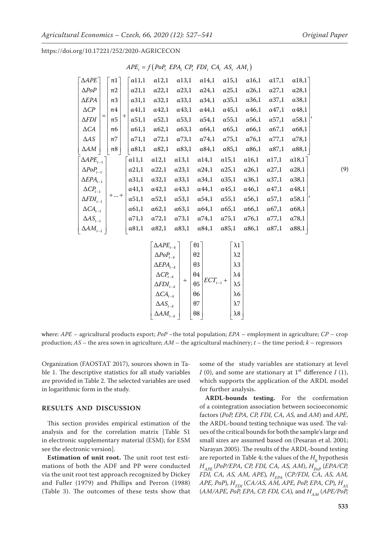,

https://doi.org/10.17221/252/2020-AGRICECON

| $\triangle APE$                | $\pi$ 1 |        | $\alpha$ 11,1 | $\alpha$ 12,1 | $\alpha$ 13,1 | $\alpha$ 14,1 | $\alpha$ 15,1 | $\alpha$ 16,1 | $\alpha$ 17,1 | $\alpha$ 18,1 |
|--------------------------------|---------|--------|---------------|---------------|---------------|---------------|---------------|---------------|---------------|---------------|
| $\triangle PoP$                | $\pi$ 2 |        | $\alpha$ 21,1 | $\alpha$ 22,1 | $\alpha$ 23,1 | $\alpha$ 24,1 | $\alpha$ 25,1 | $\alpha$ 26,1 | $\alpha$ 27,1 | $\alpha$ 28,1 |
| $\Delta EPA$                   | $\pi$ 3 |        | $\alpha$ 31,1 | $\alpha$ 32,1 | $\alpha$ 33,1 | $\alpha$ 34,1 | $\alpha$ 35,1 | $\alpha$ 36,1 | $\alpha$ 37,1 | $\alpha$ 38,1 |
| $\triangle CP$                 | $\pi4$  |        | $\alpha$ 41,1 | $\alpha$ 42,1 | $\alpha$ 43,1 | $\alpha$ 44,1 | $\alpha$ 45,1 | $\alpha$ 46,1 | $\alpha$ 47,1 | $\alpha$ 48,1 |
| $\Delta FDI$                   | π5      | $^{+}$ | $\alpha$ 51,1 | $\alpha$ 52,1 | $\alpha$ 53,1 | $\alpha$ 54,1 | $\alpha$ 55,1 | $\alpha$ 56,1 | $\alpha$ 57,1 | $\alpha$ 58,1 |
| $\Delta CA$                    | π6      |        | $\alpha$ 61,1 | $\alpha$ 62,1 | $\alpha$ 63,1 | $\alpha$ 64,1 | $\alpha$ 65,1 | $\alpha$ 66,1 | $\alpha$ 67,1 | $\alpha$ 68,1 |
| $\Delta AS$                    | $\pi$ 7 |        | $\alpha$ 71,1 | $\alpha$ 72,1 | $\alpha$ 73,1 | $\alpha$ 74,1 | $\alpha$ 75,1 | $\alpha$ 76,1 | $\alpha$ 77,1 | $\alpha$ 78,1 |
| ΔАΜ                            | $\pi8$  |        | $\alpha$ 81,1 | $\alpha$ 82,1 | $\alpha$ 83,1 | $\alpha$ 84,1 | $\alpha$ 85,1 | $\alpha$ 86,1 | $\alpha$ 87,1 | $\alpha$ 88,1 |
| $\triangle APE_{t-1}$          |         |        | $\alpha$ 11,1 | $\alpha$ 12,1 | $\alpha$ 13,1 | $\alpha$ 14,1 | $\alpha$ 15,1 | $\alpha$ 16,1 | $\alpha$ 17,1 | $\alpha$ 18,1 |
| $\Delta PoP_{t-1}$             |         |        | $\alpha$ 21,1 | $\alpha$ 22,1 | $\alpha$ 23,1 | $\alpha$ 24,1 | $\alpha$ 25,1 | $\alpha$ 26,1 | $\alpha$ 27,1 | $\alpha$ 28,1 |
| $\triangle EPA$ <sub>t-1</sub> |         |        | $\alpha$ 31,1 | $\alpha$ 32,1 | $\alpha$ 33,1 | $\alpha$ 34,1 | $\alpha$ 35,1 | $\alpha$ 36,1 | $\alpha$ 37,1 | $\alpha$ 38,1 |
| $\Delta CP_{t-1}$              |         |        | $\alpha$ 41,1 | $\alpha$ 42,1 | $\alpha$ 43,1 | $\alpha$ 44,1 | $\alpha$ 45,1 | $\alpha$ 46,1 | $\alpha$ 47,1 | $\alpha$ 48,1 |
| $\Delta FDI_{t-1}$             | $+  +$  |        | $\alpha$ 51,1 | $\alpha$ 52,1 | $\alpha$ 53,1 | $\alpha$ 54,1 | $\alpha$ 55,1 | $\alpha$ 56,1 | $\alpha$ 57,1 | $\alpha$ 58,1 |
| $\Delta CA_{t-1}$              |         |        | $\alpha$ 61,1 | $\alpha$ 62,1 | $\alpha$ 63,1 | $\alpha$ 64,1 | $\alpha$ 65,1 | $\alpha$ 66,1 | $\alpha$ 67,1 | $\alpha$ 68,1 |
| $\Delta AS_{t-1}$              |         |        | $\alpha$ 71,1 | $\alpha$ 72,1 | $\alpha$ 73,1 | $\alpha$ 74,1 | $\alpha$ 75,1 | $\alpha$ 76,1 | $\alpha$ 77,1 | $\alpha$ 78,1 |
| $\Delta AM_{t-1}$              |         |        | $\alpha$ 81,1 | $\alpha$ 82,1 | $\alpha$ 83,1 | $\alpha$ 84,1 | $\alpha$ 85,1 | $\alpha$ 86,1 | $\alpha$ 87,1 | $\alpha$ 88,1 |
|                                |         |        |               |               |               |               |               |               |               |               |

| $APE_{t} = f(PoP_{t} EPA_{t} CP_{t} FDI_{t} CA_{t} AS_{t} AM_{t})$ |  |  |  |
|--------------------------------------------------------------------|--|--|--|
|                                                                    |  |  |  |

| $\triangle APE_{t-k}$ |     | $\theta$ 1 |                        | $\lambda$ 1 |
|-----------------------|-----|------------|------------------------|-------------|
| $\Delta PoP_{t-k}$    |     | $\theta$ 2 | $\mathit{ECT}_{t-1}$ + | $\lambda 2$ |
| $\Delta EPA_{t-k}$    |     | $\theta$ 3 |                        | $\lambda$ 3 |
| $\Delta CP_{t-k}$     | $+$ | θ4         |                        | $\lambda4$  |
| $\Delta FDI_{t-k}$    |     | $\theta$ 5 |                        | $\lambda$ 5 |
| $\Delta CA_{t-k}$     |     | θ6         |                        | $\lambda$ 6 |
| $\Delta AS_{t-k}$     |     | θ7         |                        | $\lambda$ 7 |
| $\Delta AM_{t-k}$     |     | θ8         |                        | $\lambda 8$ |

where: *APE* – agricultural products export; *PoP* –the total population; *EPA* – employment in agriculture; *CP* – crop production; *AS* – the area sown in agriculture; *AM* – the agricultural machinery; *t* – the time period; *k* – regressors

Organization (FAOSTAT 2017), sources shown in Table 1. The descriptive statistics for all study variables are provided in Table 2. The selected variables are used in logarithmic form in the study.

## **RESULTS AND DISCUSSION**

This section provides empirical estimation of the analysis and for the correlation matrix [\[Table S1](https://www.agriculturejournals.cz/publicFiles/354522.pdf)  in [electronic supplementary material \(ESM\); for ESM](https://www.agriculturejournals.cz/publicFiles/354522.pdf)  [see the electronic version\].](https://www.agriculturejournals.cz/publicFiles/354522.pdf)

**Estimation of unit root.** The unit root test estimations of both the ADF and PP were conducted via the unit root test approach recognized by Dickey and Fuller (1979) and Phillips and Perron (1988) (Table 3). The outcomes of these tests show that

some of the study variables are stationary at level *I* (0), and some are stationary at  $1<sup>st</sup>$  difference *I* (1), which supports the application of the ARDL model for further analysis.

**ARDL-bounds testing.** For the confirmation of a cointegration association between socioeconomic factors (*PoP, EPA, CP, FDI, CA, AS,* and *AM*) and *APE*, the ARDL-bound testing technique was used. The values of the critical bounds for both the sample's large and small sizes are assumed based on (Pesaran et al. 2001; Narayan 2005). The results of the ARDL-bound testing are reported in Table 4; the values of the  $H_0$  hypothesis *H<sub>APE</sub>* (*PoP/EPA, CP, FDI, CA, AS, AM*), *H<sub>PoP</sub>* (*EPA/CP*, *FDI, CA, AS, AM, APE), H<sub>EPA</sub> (CP/FDI, CA, AS, AM, APE, PoP*)*, H<sub>FDI</sub>* (*CA/AS, AM, APE, PoP, EPA, CP*)*, H<sub>AS</sub>* (*AM/APE, PoP, EPA, CP, FDI, CA*)*,* and  $H_{AM}$  (*APE/PoP,* 

(9)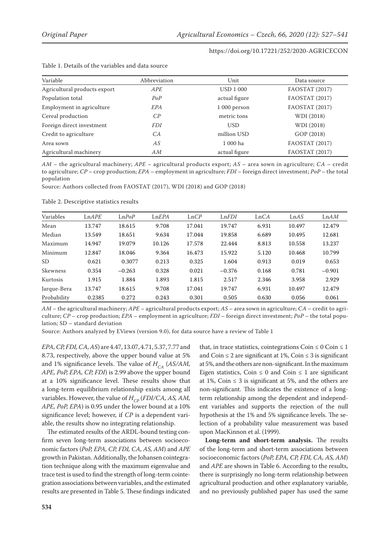| Variable                     | Abbreviation   | Unit             | Data source    |
|------------------------------|----------------|------------------|----------------|
| Agricultural products export | APE            | <b>USD 1 000</b> | FAOSTAT (2017) |
| Population total             | PoP            | actual figure    | FAOSTAT (2017) |
| Employment in agriculture    | EPA            | 1 000 person     | FAOSTAT (2017) |
| Cereal production            | $\mathcal{C}P$ | metric tons      | WDI (2018)     |
| Foreign direct investment    | <i>FDI</i>     | <b>USD</b>       | WDI (2018)     |
| Credit to agriculture        | CA             | million USD      | GOP (2018)     |
| Area sown                    | AS             | 1 000 ha         | FAOSTAT (2017) |
| Agricultural machinery       | AM             | actual figure    | FAOSTAT (2017) |

#### Table 1. Details of the variables and data source

*AM* – the agricultural machinery; *APE* – agricultural products export; *AS* – area sown in agriculture; *CA* – credit to agriculture; *CP* – crop production; *EPA* – employment in agriculture; *FDI* – foreign direct investment; *PoP* – the total population

Source: Authors collected from FAOSTAT (2017), WDI (2018) and GOP (2018)

Table 2. Descriptive statistics results

| Variables   | LnAPE  | LnPoP    | LnEPA  | LnCP   | LnFDI    | LnCA  | LnAS   | LnAM     |
|-------------|--------|----------|--------|--------|----------|-------|--------|----------|
| Mean        | 13.747 | 18.615   | 9.708  | 17.041 | 19.747   | 6.931 | 10.497 | 12.479   |
| Median      | 13.549 | 18.651   | 9.634  | 17.044 | 19.858   | 6.689 | 10.495 | 12.681   |
| Maximum     | 14.947 | 19.079   | 10.126 | 17.578 | 22.444   | 8.813 | 10.558 | 13.237   |
| Minimum     | 12.847 | 18.046   | 9.364  | 16.473 | 15.922   | 5.120 | 10.468 | 10.799   |
| SD.         | 0.621  | 0.3077   | 0.213  | 0.325  | 1.604    | 0.913 | 0.019  | 0.653    |
| Skewness    | 0.354  | $-0.263$ | 0.328  | 0.021  | $-0.376$ | 0.168 | 0.781  | $-0.901$ |
| Kurtosis    | 1.915  | 1.884    | 1.893  | 1.815  | 2.517    | 2.346 | 3.958  | 2.929    |
| Jarque-Bera | 13.747 | 18.615   | 9.708  | 17.041 | 19.747   | 6.931 | 10.497 | 12.479   |
| Probability | 0.2385 | 0.272    | 0.243  | 0.301  | 0.505    | 0.630 | 0.056  | 0.061    |

*AM* – the agricultural machinery; *APE* – agricultural products export; *AS* – area sown in agriculture; *CA* – credit to agriculture; *CP* – crop production; *EPA* – employment in agriculture; *FDI* – foreign direct investment; *PoP* – the total population; SD – standard deviation

Source: Authors analyzed by EViews (version 9.0), for data source have a review of Table 1

*EPA, CP, FDI, CA, AS*) are 4.47, 13.07, 4.71, 5.37, 7.77 and 8.73, respectively, above the upper bound value at 5% and 1% significance levels. The value of  $H_{CA}$  (AS/AM, *APE, PoP, EPA, CP, FDI*) is 2.99 above the upper bound at a 10% significance level. These results show that a long-term equilibrium relationship exists among all variables. However, the value of  $H_{\tiny{CD}}$  (*FDI/CA, AS, AM*, *APE, PoP, EPA*) is 0.95 under the lower bound at a 10% significance level; however, if *CP* is a dependent variable, the results show no integrating relationship.

The estimated results of the ARDL-bound testing confirm seven long-term associations between socioeconomic factors (*PoP, EPA, CP, FDI, CA, AS, AM*) and *APE* growth in Pakistan. Additionally, the Johansen cointegration technique along with the maximum eigenvalue and trace test is used to find the strength of long-term cointegration associations between variables, and the estimated results are presented in Table 5. These findings indicated

that, in trace statistics, cointegrations Coin  $\leq 0$  Coin  $\leq 1$ and Coin  $\leq 2$  are significant at 1%, Coin  $\leq 3$  is significant at 5%, and the others are non-significant. In the maximum Eigen statistics, Coin  $\leq 0$  and Coin  $\leq 1$  are significant at 1%, Coin  $\leq$  3 is significant at 5%, and the others are non-significant. This indicates the existence of a longterm relationship among the dependent and independent variables and supports the rejection of the null hypothesis at the 1% and 5% significance levels. The selection of a probability value measurement was based upon MacKinnon et al. (1999).

**Long-term and short-term analysis.** The results of the long-term and short-term associations between socioeconomic factors (*PoP, EPA, CP, FDI, CA, AS, AM*) and *APE* are shown in Table 6. According to the results, there is surprisingly no long-term relationship between agricultural production and other explanatory variable, and no previously published paper has used the same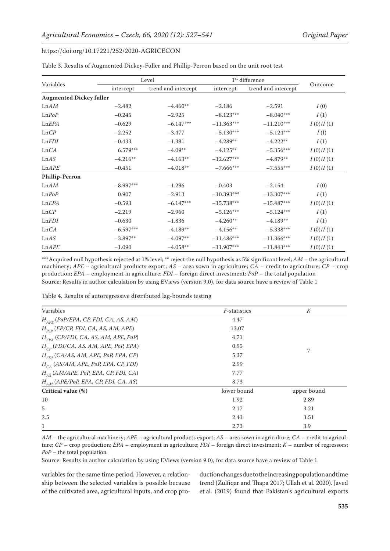|                                |             | Level               | 1 <sup>st</sup> difference |                     |           |
|--------------------------------|-------------|---------------------|----------------------------|---------------------|-----------|
| Variables                      | intercept   | trend and intercept | intercept                  | trend and intercept | Outcome   |
| <b>Augmented Dickey fuller</b> |             |                     |                            |                     |           |
| LnAM                           | $-2.482$    | $-4.460**$          | $-2.186$                   | $-2.591$            | I(0)      |
| LnPoP                          | $-0.245$    | $-2.925$            | $-8.123***$                | $-8.040***$         | I(1)      |
| LnEPA                          | $-0.629$    | $-6.147***$         | $-11.363***$               | $-11.210***$        | I(0)/I(1) |
| LnCP                           | $-2.252$    | $-3.477$            | $-5.130***$                | $-5.124***$         | I(I)      |
| LnFDI                          | $-0.433$    | $-1.381$            | $-4.289**$                 | $-4.222**$          | I(1)      |
| LnCA                           | 6.579***    | $-4.09**$           | $-4.125**$                 | $-5.356***$         | I(0)/I(1) |
| LnAS                           | $-4.216**$  | $-4.163**$          | $-12.627***$               | $-4.879**$          | I(0)/I(1) |
| LnAPE                          | $-0.451$    | $-4.018**$          | $-7.666***$                | $-7.555***$         | I(0)/I(1) |
| <b>Phillip-Perron</b>          |             |                     |                            |                     |           |
| LnAM                           | $-8.997***$ | $-1.296$            | $-0.403$                   | $-2.154$            | I(0)      |
| LnPoP                          | 0.907       | $-2.913$            | $-10.393***$               | $-13.307***$        | I(1)      |
| LnEPA                          | $-0.593$    | $-6.147***$         | $-15.738***$               | $-15.487***$        | I(0)/I(1) |
| LnCP                           | $-2.219$    | $-2.960$            | $-5.126***$                | $-5.124***$         | I(1)      |
| LnFDI                          | $-0.630$    | $-1.836$            | $-4.260**$                 | $-4.189**$          | I(1)      |
| LnCA                           | $-6.597***$ | $-4.189**$          | $-4.156**$                 | $-5.338***$         | I(0)/I(1) |
| LnAS                           | $-3.897**$  | $-4.097**$          | $-11.486***$               | $-11.366***$        | I(0)/I(1) |
| LnAPE                          | $-1.090$    | $-4.058**$          | $-11.907***$               | $-11.843***$        | I(0)/I(1) |

Table 3. Results of Augmented Dickey-Fuller and Phillip-Perron based on the unit root test

\*\*\*Acquired null hypothesis rejected at 1% level; \*\* reject the null hypothesis as 5% significant level; *AM* – the agricultural machinery; *APE* – agricultural products export; *AS* – area sown in agriculture; *CA* – credit to agriculture; *CP* – crop production; *EPA* – employment in agriculture; *FDI* – foreign direct investment; *PoP* – the total population Source: Results in author calculation by using EViews (version 9.0), for data source have a review of Table 1

Table 4. Results of autoregressive distributed lag-bounds testing

| Variables                                      | <i>F</i> -statistics | К           |
|------------------------------------------------|----------------------|-------------|
| $H_{_{APF}}$ (PoP/EPA, CP, FDI, CA, AS, AM)    | 4.47                 |             |
| $H_{p_0p}$ (EP/CP, FDI, CA, AS, AM, APE)       | 13.07                |             |
| $H_{FPA}$ (CP/FDI, CA, AS, AM, APE, PoP)       | 4.71                 |             |
| $H_{\sub{CD}}$ (FDI/CA, AS, AM, APE, PoP, EPA) | 0.95                 |             |
| $H_{FDI}$ (CA/AS, AM, APE, PoP, EPA, CP)       | 5.37                 | 7           |
| $H_{CA}$ (AS/AM, APE, PoP, EPA, CP, FDI)       | 2.99                 |             |
| $H_{AS}$ (AM/APE, PoP, EPA, CP, FDI, CA)       | 7.77                 |             |
| $H_{AM}$ (APE/PoP, EPA, CP, FDI, CA, AS)       | 8.73                 |             |
| Critical value (%)                             | lower bound          | upper bound |
| 10                                             | 1.92                 | 2.89        |
| 5                                              | 2.17                 | 3.21        |
| 2.5                                            | 2.43                 | 3.51        |
| 1                                              | 2.73                 | 3.9         |

*AM* – the agricultural machinery; *APE* – agricultural products export; *AS* – area sown in agriculture; *CA* – credit to agriculture; *CP* – crop production; *EPA* – employment in agriculture; *FDI* – foreign direct investment; *K* – number of regressors; *PoP* – the total population

Source: Results in author calculation by using EViews (version 9.0), for data source have a review of Table 1

variables for the same time period. However, a relationship between the selected variables is possible because of the cultivated area, agricultural inputs, and crop production changes due to the increasing population and time trend (Zulfiqar and Thapa 2017; Ullah et al. 2020). Javed et al. (2019) found that Pakistan's agricultural exports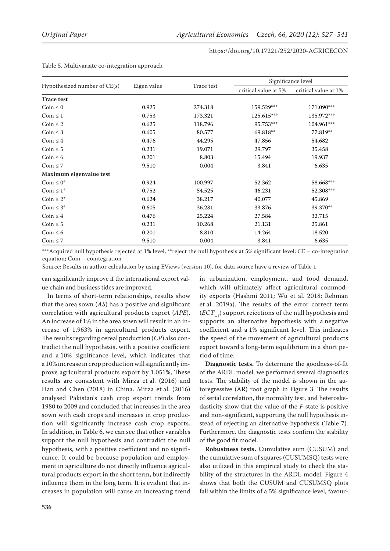|                              |             |            | Significance level   |                      |  |  |
|------------------------------|-------------|------------|----------------------|----------------------|--|--|
| Hypothesized number of CE(s) | Eigen value | Trace test | critical value at 5% | critical value at 1% |  |  |
| <b>Trace test</b>            |             |            |                      |                      |  |  |
| Coin $\leq 0$                | 0.925       | 274.318    | 159.529***           | 171.090***           |  |  |
| Coin $\leq 1$                | 0.753       | 173.321    | 125.615***           | 135.972***           |  |  |
| Coin $\leq 2$                | 0.625       | 118.796    | 95.753***            | 104.961***           |  |  |
| Coin $\leq$ 3                | 0.605       | 80.577     | 69.818**             | 77.819**             |  |  |
| Coin $\leq 4$                | 0.476       | 44.295     | 47.856               | 54.682               |  |  |
| Coin $\leq 5$                | 0.231       | 19.071     | 29.797               | 35.458               |  |  |
| Coin $\leq 6$                | 0.201       | 8.803      | 15.494               | 19.937               |  |  |
| Coin $\leq 7$                | 9.510       | 0.004      | 3.841                | 6.635                |  |  |
| Maximum eigenvalue test      |             |            |                      |                      |  |  |
| Coin $\leq 0^*$              | 0.924       | 100.997    | 52.362               | 58.668***            |  |  |
| Coin $\leq 1^*$              | 0.752       | 54.525     | 46.231               | 52.308***            |  |  |
| Coin $\leq 2^*$              | 0.624       | 38.217     | 40.077               | 45.869               |  |  |
| Coin $\leq 3^*$              | 0.605       | 36.281     | 33.876               | 39.370**             |  |  |
| Coin $\leq 4$                | 0.476       | 25.224     | 27.584               | 32.715               |  |  |
| Coin $\leq 5$                | 0.231       | 10.268     | 21.131               | 25.861               |  |  |
| Coin $\leq 6$                | 0.201       | 8.810      | 14.264               | 18.520               |  |  |
| Coin $\leq 7$                | 9.510       | 0.004      | 3.841                | 6.635                |  |  |

Table 5. Multivariate co-integration approach

\*\*\*Acquired null hypothesis rejected at 1% level, \*\*reject the null hypothesis at 5% significant level; CE – co-integration equation; Coin – cointegration

Source: Results in author calculation by using EViews (version 10), for data source have a review of Table 1

can significantly improve if the international export value chain and business tides are improved.

In terms of short-term relationships, results show that the area sown (*AS*) has a positive and significant correlation with agricultural products export (*APE*). An increase of 1% in the area sown will result in an increase of 1.963% in agricultural products export. The results regarding cereal production (*CP*) also contradict the null hypothesis, with a positive coefficient and a 10% significance level, which indicates that a 10% increase in crop production will significantly improve agricultural products export by 1.051%, These results are consistent with Mirza et al. (2016) and Han and Chen (2018) in China. Mirza et al. (2016) analysed Pakistan's cash crop export trends from 1980 to 2009 and concluded that increases in the area sown with cash crops and increases in crop production will significantly increase cash crop exports. In addition, in Table 6, we can see that other variables support the null hypothesis and contradict the null hypothesis, with a positive coefficient and no significance. It could be because population and employment in agriculture do not directly influence agricultural products export in the short term, but indirectly influence them in the long term. It is evident that increases in population will cause an increasing trend

in urbanization, employment, and food demand, which will ultimately affect agricultural commodity exports (Hashmi 2011; Wu et al. 2018; Rehman et al. 2019a). The results of the error correct term (*ECT*–1) support rejections of the null hypothesis and supports an alternative hypothesis with a negative coefficient and a 1% significant level. This indicates the speed of the movement of agricultural products export toward a long-term equilibrium in a short period of time.

**Diagnostic tests.** To determine the goodness-of-fit of the ARDL model, we performed several diagnostics tests. The stability of the model is shown in the autoregressive (AR) root graph in Figure 3. The results of serial correlation, the normality test, and heteroskedasticity show that the value of the *F*-state is positive and non-significant, supporting the null hypothesis instead of rejecting an alternative hypothesis (Table 7). Furthermore, the diagnostic tests confirm the stability of the good fit model.

**Robustness tests.** Cumulative sum (CUSUM) and the cumulative sum of squares (CUSUMSQ) tests were also utilized in this empirical study to check the stability of the structures in the ARDL model. Figure 4 shows that both the CUSUM and CUSUMSQ plots fall within the limits of a 5% significance level, favour-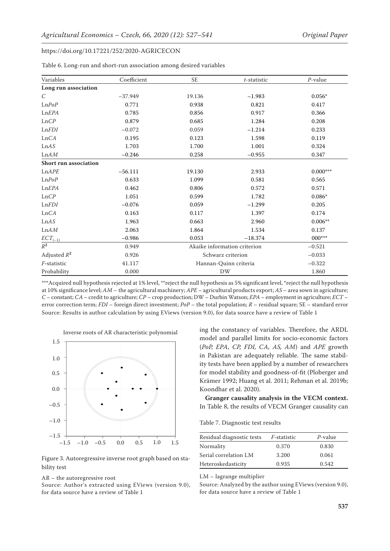| Variables             | Coefficient | $\ensuremath{\mathsf{SE}}$ | $t$ -statistic               | $P$ -value |
|-----------------------|-------------|----------------------------|------------------------------|------------|
| Long run association  |             |                            |                              |            |
| $\mathcal{C}$         | $-37.949$   | 19.136                     | $-1.983$                     | $0.056*$   |
| LnPoP                 | 0.771       | 0.938                      | 0.821                        | 0.417      |
| LnEPA                 | 0.785       | 0.856                      | 0.917                        | 0.366      |
| LnCP                  | 0.879       | 0.685                      | 1.284                        | 0.208      |
| LnFDI                 | $-0.072$    | 0.059                      | $-1.214$                     | 0.233      |
| LnCA                  | 0.195       | 0.123                      | 1.598                        | 0.119      |
| ${\rm Ln}AS$          | 1.703       | 1.700                      | 1.001                        | 0.324      |
| ${\rm Ln}AM$          | $-0.246$    | 0.258                      | $-0.955$                     | 0.347      |
| Short run association |             |                            |                              |            |
| LnAPE                 | $-56.111$   | 19.130                     | 2.933                        | $0.000***$ |
| LnPoP                 | 0.633       | 1.099                      | 0.581                        | 0.565      |
| LnEPA                 | 0.462       | 0.806                      | 0.572                        | 0.571      |
| LnCP                  | 1.051       | 0.599                      | 1.782                        | $0.086*$   |
| LnFDI                 | $-0.076$    | 0.059                      | $-1.299$                     | 0.205      |
| LnCA                  | 0.163       | 0.117                      | 1.397                        | 0.174      |
| ${\rm Ln}AS$          | 1.963       | 0.663                      | 2.960                        | $0.006**$  |
| ${\rm Ln}AM$          | 2.063       | 1.864                      | 1.534                        | 0.137      |
| $ECT_{(-1)}$          | $-0.986$    | 0.053                      | $-18.374$                    | $000***$   |
| $\mathbb{R}^2$        | 0.949       |                            | Akaike information criterion | $-0.521$   |
| Adjusted $R^2$        | 0.926       |                            | Schwarz criterion            | $-0.033$   |
| F-statistic           | 41.117      |                            | Hannan-Quinn criteria        | $-0.322$   |
| Probability           | 0.000       |                            | DW                           | 1.860      |

Table 6. Long-run and short-run association among desired variables

\*\*\*Acquired null hypothesis rejected at 1% level, \*\*reject the null hypothesis as 5% significant level, \*reject the null hypothesis at 10% significance level; *AM* – the agricultural machinery; *APE* – agricultural products export; *AS* – area sown in agriculture; *C* – constant; *CA* – credit to agriculture; *CP* – crop production; DW – Durbin Watson; *EPA* – employment in agriculture; *ECT* – error correction term; *FDI* – foreign direct investment; *PoP* – the total population; *R* – residual square; SE – standard error Source: Results in author calculation by using EViews (version 9.0), for data source have a review of Table 1



Figure 3. Autoregressive inverse root graph based on stability test

#### AR – the autoregressive root

Source: Author's extracted using EViews (version 9.0), for data source have a review of Table 1

ing the constancy of variables. Therefore, the ARDL model and parallel limits for socio-economic factors (*PoP, EPA, CP, FDI, CA, AS, AM*) and *APE* growth in Pakistan are adequately reliable. The same stability tests have been applied by a number of researchers for model stability and goodness-of-fit (Ploberger and Krämer 1992; Huang et al. 2011; Rehman et al. 2019b; Koondhar et al. 2020).

**Granger causality analysis in the VECM context.**  In Table 8, the results of VECM Granger causality can

Table 7. Diagnostic test results

| Residual diagnostic tests | <i>F</i> -statistic | P-value |
|---------------------------|---------------------|---------|
| Normality                 | 0.370               | 0.830   |
| Serial correlation LM     | 3.200               | 0.061   |
| Heteroskedasticity        | 0.935               | 0.542   |

LM – lagrange multiplier

Source: Analyzed by the author using EViews (version 9.0), for data source have a review of Table 1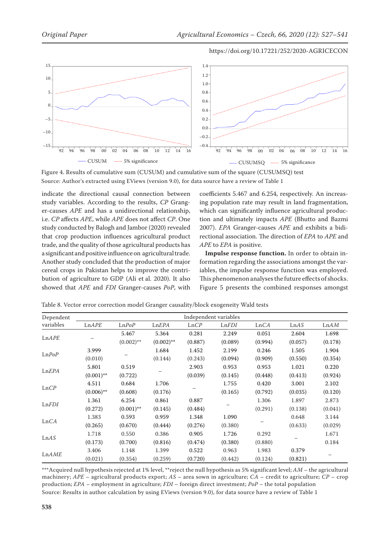



Figure 4. Results of cumulative sum (CUSUM) and cumulative sum of the square (CUSUMSQ) test Source: Author's extracted using EViews (version 9.0), for data source have a review of Table 1

indicate the directional causal connection between study variables. According to the results, *CP* Granger-causes *APE* and has a unidirectional relationship, i.e. *CP* affects *APE*, while *APE* does not affect *CP*. One study conducted by Balogh and Jambor (2020) revealed that crop production influences agricultural product trade, and the quality of those agricultural products has a significant and positive influence on agricultural trade. Another study concluded that the production of major cereal crops in Pakistan helps to improve the contribution of agriculture to GDP (Ali et al. 2020). It also showed that *APE* and *FDI* Granger-causes *PoP*, with

coefficients 5.467 and 6.254, respectively. An increasing population rate may result in land fragmentation, which can significantly influence agricultural production and ultimately impacts *APE* (Bhutto and Bazmi 2007). *EPA* Granger-causes *APE* and exhibits a bidirectional association. The direction of *EPA* to *APE* and *APE* to *EPA* is positive.

**Impulse response function.** In order to obtain information regarding the associations amongst the variables, the impulse response function was employed. This phenomenon analyses the future effects of shocks. Figure 5 presents the combined responses amongst

| Dependent | Independent variables |              |              |         |         |         |         |         |  |
|-----------|-----------------------|--------------|--------------|---------|---------|---------|---------|---------|--|
| variables | LnAPE                 | LnPoP        | LnEPA        | LnCP    | LnFDI   | LnCA    | LnAS    | LnAM    |  |
|           |                       | 5.467        | 5.364        | 0.281   | 2.249   | 0.051   | 2.604   | 1.698   |  |
| LnAPE     |                       | $(0.002)$ ** | $(0.002)$ ** | (0.887) | (0.089) | (0.994) | (0.057) | (0.178) |  |
|           | 3.999                 |              | 1.684        | 1.452   | 2.199   | 0.246   | 1.505   | 1.904   |  |
| LnPoP     | (0.010)               |              | (0.144)      | (0.243) | (0.094) | (0.909) | (0.550) | (0.354) |  |
|           | 5.801                 | 0.519        |              | 2.903   | 0.953   | 0.953   | 1.021   | 0.220   |  |
| LnEPA     | $(0.001)$ **          | (0.722)      |              | (0.039) | (0.145) | (0.448) | (0.413) | (0.924) |  |
|           | 4.511                 | 0.684        | 1.706        |         | 1.755   | 0.420   | 3.001   | 2.102   |  |
| LnCP      | $(0.006)$ **          | (0.608)      | (0.176)      |         | (0.165) | (0.792) | (0.035) | (0.120) |  |
|           | 1.361                 | 6.254        | 0.861        | 0.887   |         | 1.306   | 1.897   | 2.873   |  |
| LnFDI     | (0.272)               | $(0.001)$ ** | (0.145)      | (0.484) |         | (0.291) | (0.138) | (0.041) |  |
|           | 1.383                 | 0.593        | 0.959        | 1.348   | 1.090   |         | 0.648   | 3.144   |  |
| LnCA      | (0.265)               | (0.670)      | (0.444)      | (0.276) | (0.380) |         | (0.633) | (0.029) |  |
|           | 1.718                 | 0.550        | 0.386        | 0.905   | 1.726   | 0.292   |         | 1.671   |  |
| LnAS      | (0.173)               | (0.700)      | (0.816)      | (0.474) | (0.380) | (0.880) |         | 0.184   |  |
|           | 3.406                 | 1.148        | 1.399        | 0.522   | 0.963   | 1.983   | 0.379   |         |  |
| LnAME     | (0.021)               | (0.354)      | (0.259)      | (0.720) | (0.442) | (0.124) | (0.821) |         |  |

Table 8. Vector error correction model Granger causality/block exogeneity Wald tests

\*\*\*Acquired null hypothesis rejected at 1% level, \*\*reject the null hypothesis as 5% significant level; *AM* – the agricultural machinery; *APE* – agricultural products export; *AS* – area sown in agriculture; *CA* – credit to agriculture; *CP* – crop production; *EPA* – employment in agriculture; *FDI* – foreign direct investment; *PoP* – the total population Source: Results in author calculation by using EViews (version 9.0), for data source have a review of Table 1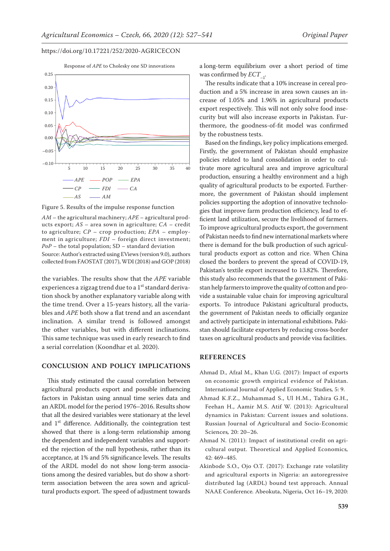

Figure 5. Results of the impulse response function

*AM* – the agricultural machinery; *APE* – agricultural products export; *AS* – area sown in agriculture; *CA* – credit to agriculture; *CP* – crop production; *EPA* – employment in agriculture; *FDI* – foreign direct investment; *PoP* – the total population; SD – standard deviation Source: Author's extracted using EViews (version 9.0), authors collected from FAOSTAT (2017), WDI (2018) and GOP (2018)

the variables. The results show that the *APE* variable experiences a zigzag trend due to a 1<sup>st</sup> standard derivation shock by another explanatory variable along with the time trend. Over a 15-years history, all the variables and *APE* both show a flat trend and an ascendant inclination. A similar trend is followed amongst the other variables, but with different inclinations. This same technique was used in early research to find a serial correlation (Koondhar et al. 2020).

#### **CONCLUSION AND POLICY IMPLICATIONS**

This study estimated the causal correlation between agricultural products export and possible influencing factors in Pakistan using annual time series data and an ARDL model for the period 1976–2016. Results show that all the desired variables were stationary at the level and 1st difference. Additionally, the cointegration test showed that there is a long-term relationship among the dependent and independent variables and supported the rejection of the null hypothesis, rather than its acceptance, at 1% and 5% significance levels. The results of the ARDL model do not show long-term associations among the desired variables, but do show a shortterm association between the area sown and agricultural products export. The speed of adjustment towards

a long-term equilibrium over a short period of time was confirmed by  $ECT_{-1}$ .

The results indicate that a 10% increase in cereal production and a 5% increase in area sown causes an increase of 1.05% and 1.96% in agricultural products export respectively. This will not only solve food insecurity but will also increase exports in Pakistan. Furthermore, the goodness-of-fit model was confirmed by the robustness tests.

Based on the findings, key policy implications emerged. Firstly, the government of Pakistan should emphasize policies related to land consolidation in order to cultivate more agricultural area and improve agricultural production, ensuring a healthy environment and a high quality of agricultural products to be exported. Furthermore, the government of Pakistan should implement policies supporting the adoption of innovative technologies that improve farm production efficiency, lead to efficient land utilization, secure the livelihood of farmers. To improve agricultural products export, the government of Pakistan needs to find new international markets where there is demand for the bulk production of such agricultural products export as cotton and rice. When China closed the borders to prevent the spread of COVID-19, Pakistan's textile export increased to 13.82%. Therefore, this study also recommends that the government of Pakistan help farmers to improve the quality of cotton and provide a sustainable value chain for improving agricultural exports. To introduce Pakistani agricultural products, the government of Pakistan needs to officially organize and actively participate in international exhibitions. Pakistan should facilitate exporters by reducing cross-border taxes on agricultural products and provide visa facilities.

#### **REFERENCES**

- Ahmad D., Afzal M., Khan U.G. (2017): Impact of exports on economic growth empirical evidence of Pakistan. International Journal of Applied Economic Studies*,* 5: 9.
- Ahmad K.F.Z., Muhammad S., Ul H.M., Tahira G.H., Feehan H., Aamir M.S. Atif W. (2013): Agricultural dynamics in Pakistan: Current issues and solutions. Russian Journal of Agricultural and Socio-Economic Sciences*,* 20: 20–26.
- Ahmad N. (2011): Impact of institutional credit on agricultural output. Theoretical and Applied Economics*,* 42: 469–485.
- Akinbode S.O., Ojo O.T. (2017): Exchange rate volatility and agricultural exports in Nigeria: an autoregressive distributed lag (ARDL) bound test approach. Annual NAAE Conference*.* Abeokuta, Nigeria, Oct 16–19, 2020: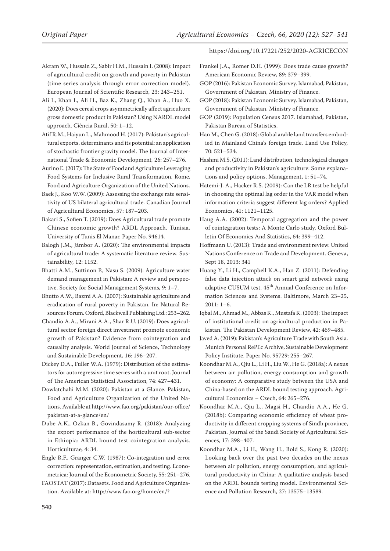- Akram W., Hussain Z., Sabir H.M., Hussain I. (2008): Impact of agricultural credit on growth and poverty in Pakistan (time series analysis through error correction model). European Journal of Scientific Research*,* 23: 243–251.
- Ali I., Khan I., Ali H., Baz K., Zhang Q., Khan A., Huo X. (2020): Does cereal crops asymmetrically affect agriculture gross domestic product in Pakistan? Using NARDL model approach. Ciência Rural, 50: 1–12.
- Atif R.M., Haiyun L., Mahmood H. (2017): Pakistan's agricultural exports, determinants and its potential: an application of stochastic frontier gravity model. The Journal of International Trade & Economic Development*,* 26: 257–276.
- Aurino E. (2017): The State of Food and Agriculture Leveraging Food Systems for Inclusive Rural Transformation. Rome, Food and Agriculture Organization of the United Nations.
- Baek J., Koo W.W. (2009): Assessing the exchange rate sensitivity of US bilateral agricultural trade. Canadian Journal of Agricultural Economics, 57: 187–203.
- Bakari S., Sofien T. (2019): Does Agricultural trade promote Chinese economic growth? ARDL Approach. Tunisia, University of Tunis El Manar. Paper No. 94614.
- Balogh J.M., Jámbor A. (2020): The environmental impacts of agricultural trade: A systematic literature review. Sustainability*,* 12: 1152.
- Bhatti A.M., Suttinon P., Nasu S. (2009): Agriculture water demand management in Pakistan: A review and perspective. Society for Social Management Systems*,* 9: 1–7.
- Bhutto A.W., Bazmi A.A. (2007): Sustainable agriculture and eradication of rural poverty in Pakistan. In: Natural Resources Forum. Oxford, Blackwell Publishing Ltd.: 253–262.
- Chandio A.A., Mirani A.A., Shar R.U. (2019): Does agricultural sector foreign direct investment promote economic growth of Pakistan? Evidence from cointegration and causality analysis. World Journal of Science, Technology and Sustainable Development*,* 16: 196–207.
- Dickey D.A., Fuller W.A. (1979): Distribution of the estimators for autoregressive time series with a unit root. Journal of The American Statistical Association*,* 74: 427–431.
- Dowlatchahi M.M. (2020): Pakistan at a Glance. Pakistan, Food and Agriculture Organization of the United Nations. Available at http://www.fao.org/pakistan/our-office/ pakistan-at-a-glance/en/
- Dube A.K., Ozkan B., Govindasamy R. (2018): Analyzing the export performance of the horticultural sub-sector in Ethiopia: ARDL bound test cointegration analysis. Horticulturae*,* 4: 34.
- Engle R.F., Granger C.W. (1987): Co-integration and error correction: representation, estimation, and testing. Econometrica: Journal of the Econometric Society, 55: 251–276.
- FAOSTAT (2017): Datasets. Food and Agriculture Organization. Available at: http://www.fao.org/home/en/?

- Frankel J.A., Romer D.H. (1999): Does trade cause growth? American Economic Review*,* 89: 379–399.
- GOP (2016): Pakistan Economic Survey. Islamabad, Pakistan, Government of Pakistan, Ministry of Finance.
- GOP (2018): Pakistan Economic Survey. Islamabad, Pakistan, Government of Pakistan, Ministry of Finance.
- GOP (2019): Population Census 2017. Islamabad, Pakistan, Pakistan Bureau of Statistics.
- Han M., Chen G. (2018): Global arable land transfers embodied in Mainland China's foreign trade. Land Use Policy*,* 70: 521–534.
- Hashmi M.S. (2011): Land distribution, technological changes and productivity in Pakistan's agriculture: Some explanations and policy options. Management, 1: 51–74.
- Hatemi-J. A., Hacker R.S. (2009): Can the LR test be helpful in choosing the optimal lag order in the VAR model when information criteria suggest different lag orders? Applied Economics, 41: 1121–1125.
- Haug A.A. (2002): Temporal aggregation and the power of cointegration tests: A Monte Carlo study. Oxford Bulletin Of Economics And Statistics, 64: 399–412.
- Hoffmann U. (2013): Trade and environment review. United Nations Conference on Trade and Development. Geneva, Sept 18, 2013: 341
- Huang Y., Li H., Campbell K.A., Han Z. (2011): Defending false data injection attack on smart grid network using adaptive CUSUM test. 45<sup>th</sup> Annual Conference on Information Sciences and Systems. Baltimore, March 23–25, 2011: 1–6.
- Iqbal M., Ahmad M., Abbas K., Mustafa K. (2003): The impact of institutional credit on agricultural production in Pakistan. The Pakistan Development Review, 42: 469–485.
- Javed A. (2019): Pakistan's Agriculture Trade with South Asia. Munich Personal RePEc Archive, Sustainable Development Policy Institute. Paper No. 95729: 255–267.
- Koondhar M.A., Qiu L., Li H., Liu W., He G. (2018a): A nexus between air pollution, energy consumption and growth of economy: A comparative study between the USA and China-based on the ARDL bound testing approach. Agricultural Economics – Czech, 64: 265–276.
- Koondhar M.A., Qiu L., Magsi H., Chandio A.A., He G. (2018b): Comparing economic efficiency of wheat productivity in different cropping systems of Sindh province, Pakistan. Journal of the Saudi Society of Agricultural Sciences, 17: 398–407.
- Koondhar M.A., Li H., Wang H., Bold S., Kong R. (2020): Looking back over the past two decades on the nexus between air pollution, energy consumption, and agricultural productivity in China: A qualitative analysis based on the ARDL bounds testing model. Environmental Science and Pollution Research, 27: 13575–13589.